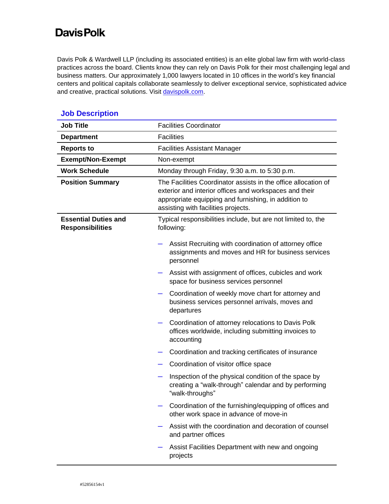## **Davis Polk**

Davis Polk & Wardwell LLP (including its associated entities) is an elite global law firm with world-class practices across the board. Clients know they can rely on Davis Polk for their most challenging legal and business matters. Our approximately 1,000 lawyers located in 10 offices in the world's key financial centers and political capitals collaborate seamlessly to deliver exceptional service, sophisticated advice and creative, practical solutions. Visi[t davispolk.com.](https://www.davispolk.com/)

| <b>Job Title</b>                                       | <b>Facilities Coordinator</b>                                                                                                                                                                                           |
|--------------------------------------------------------|-------------------------------------------------------------------------------------------------------------------------------------------------------------------------------------------------------------------------|
| <b>Department</b>                                      | <b>Facilities</b>                                                                                                                                                                                                       |
| <b>Reports to</b>                                      | <b>Facilities Assistant Manager</b>                                                                                                                                                                                     |
| <b>Exempt/Non-Exempt</b>                               | Non-exempt                                                                                                                                                                                                              |
| <b>Work Schedule</b>                                   | Monday through Friday, 9:30 a.m. to 5:30 p.m.                                                                                                                                                                           |
| <b>Position Summary</b>                                | The Facilities Coordinator assists in the office allocation of<br>exterior and interior offices and workspaces and their<br>appropriate equipping and furnishing, in addition to<br>assisting with facilities projects. |
| <b>Essential Duties and</b><br><b>Responsibilities</b> | Typical responsibilities include, but are not limited to, the<br>following:                                                                                                                                             |
|                                                        | Assist Recruiting with coordination of attorney office<br>assignments and moves and HR for business services<br>personnel                                                                                               |
|                                                        | Assist with assignment of offices, cubicles and work<br>space for business services personnel                                                                                                                           |
|                                                        | Coordination of weekly move chart for attorney and<br>business services personnel arrivals, moves and<br>departures                                                                                                     |
|                                                        | Coordination of attorney relocations to Davis Polk<br>offices worldwide, including submitting invoices to<br>accounting                                                                                                 |
|                                                        | Coordination and tracking certificates of insurance                                                                                                                                                                     |
|                                                        | Coordination of visitor office space                                                                                                                                                                                    |
|                                                        | Inspection of the physical condition of the space by<br>creating a "walk-through" calendar and by performing<br>"walk-throughs"                                                                                         |
|                                                        | Coordination of the furnishing/equipping of offices and<br>other work space in advance of move-in                                                                                                                       |
|                                                        | Assist with the coordination and decoration of counsel<br>and partner offices                                                                                                                                           |
|                                                        | Assist Facilities Department with new and ongoing<br>projects                                                                                                                                                           |

## **Job Description**